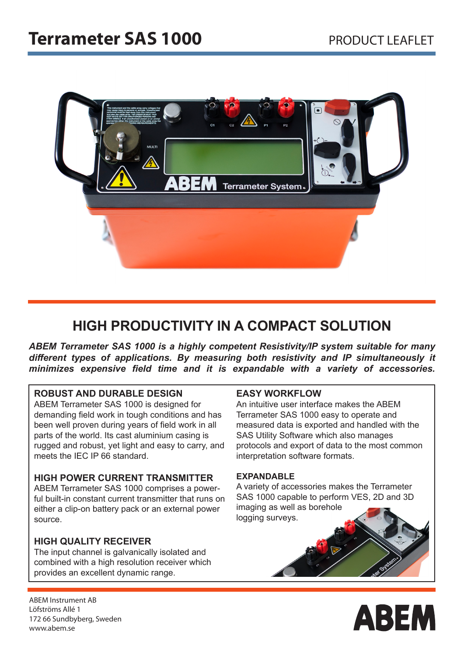

## **HIGH PRODUCTIVITY IN A COMPACT SOLUTION**

*ABEM Terrameter SAS 1000 is a highly competent Resistivity/IP system suitable for many different types of applications. By measuring both resistivity and IP simultaneously it minimizes expensive field time and it is expandable with a variety of accessories.*

#### **ROBUST AND DURABLE DESIGN**

ABEM Terrameter SAS 1000 is designed for demanding field work in tough conditions and has been well proven during years of field work in all parts of the world. Its cast aluminium casing is rugged and robust, yet light and easy to carry, and meets the IEC IP 66 standard.

#### **HIGH POWER CURRENT TRANSMITTER**

ABEM Terrameter SAS 1000 comprises a powerful built-in constant current transmitter that runs on either a clip-on battery pack or an external power source.

### **HIGH QUALITY RECEIVER**

The input channel is galvanically isolated and combined with a high resolution receiver which provides an excellent dynamic range.

#### **EASY WORKFLOW**

An intuitive user interface makes the ABEM Terrameter SAS 1000 easy to operate and measured data is exported and handled with the SAS Utility Software which also manages protocols and export of data to the most common interpretation software formats.

#### **EXPANDABLE**

A variety of accessories makes the Terrameter SAS 1000 capable to perform VES, 2D and 3D imaging as well as borehole logging surveys.



ABEM Instrument AB Löfströms Allé 1 172 66 Sundbyberg, Sweden www.abem.se